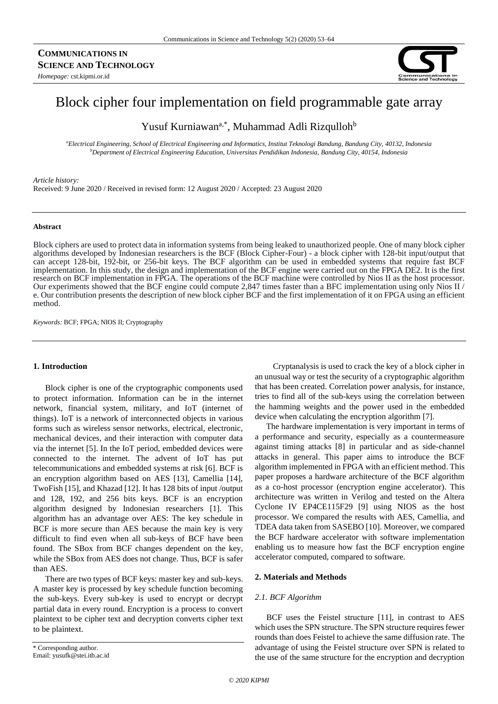

# Block cipher four implementation on field programmable gate array

Yusuf Kurniawan<sup>a,\*</sup>, Muhammad Adli Rizqulloh<sup>b</sup>

*<sup>a</sup>Electrical Engineering, School of Electrical Engineering and Informatics, Institut Teknologi Bandung, Bandung City, 40132, Indonesia <sup>b</sup>Department of Electrical Engineering Education, Universitas Pendidikan Indonesia, Bandung City, 40154, Indonesia*

### *Article history:*

Received: 9 June 2020 / Received in revised form: 12 August 2020 / Accepted: 23 August 2020

#### **Abstract**

Block ciphers are used to protect data in information systems from being leaked to unauthorized people. One of many block cipher algorithms developed by Indonesian researchers is the BCF (Block Cipher-Four) - a block cipher with 128-bit input/output that can accept 128-bit, 192-bit, or 256-bit keys. The BCF algorithm can be used in embedded systems that require fast BCF implementation. In this study, the design and implementation of the BCF engine were carried out on the FPGA DE2. It is the first research on BCF implementation in FPGA. The operations of the BCF machine were controlled by Nios II as the host processor. Our experiments showed that the BCF engine could compute 2,847 times faster than a BFC implementation using only Nios II / e. Our contribution presents the description of new block cipher BCF and the first implementation of it on FPGA using an efficient method.

*Keywords:* BCF; FPGA; NIOS II; Cryptography

## **1. Introduction**

Block cipher is one of the cryptographic components used to protect information. Information can be in the internet network, financial system, military, and IoT (internet of things). IoT is a network of interconnected objects in various forms such as wireless sensor networks, electrical, electronic, mechanical devices, and their interaction with computer data via the internet [5]. In the IoT period, embedded devices were connected to the internet. The advent of IoT has put telecommunications and embedded systems at risk [6]. BCF is an encryption algorithm based on AES [13], Camellia [14], TwoFish [15], and Khazad [12]. It has 128 bits of input /output and 128, 192, and 256 bits keys. BCF is an encryption algorithm designed by Indonesian researchers [1]. This algorithm has an advantage over AES: The key schedule in BCF is more secure than AES because the main key is very difficult to find even when all sub-keys of BCF have been found. The SBox from BCF changes dependent on the key, while the SBox from AES does not change. Thus, BCF is safer than AES.

There are two types of BCF keys: master key and sub-keys. A master key is processed by key schedule function becoming the sub-keys. Every sub-key is used to encrypt or decrypt partial data in every round. Encryption is a process to convert plaintext to be cipher text and decryption converts cipher text to be plaintext.

Email: yusufk@stei.itb.ac.id

Cryptanalysis is used to crack the key of a block cipher in an unusual way or test the security of a cryptographic algorithm that has been created. Correlation power analysis, for instance, tries to find all of the sub-keys using the correlation between the hamming weights and the power used in the embedded device when calculating the encryption algorithm [7].

The hardware implementation is very important in terms of a performance and security, especially as a countermeasure against timing attacks [8] in particular and as side-channel attacks in general. This paper aims to introduce the BCF algorithm implemented in FPGA with an efficient method. This paper proposes a hardware architecture of the BCF algorithm as a co-host processor (encryption engine accelerator). This architecture was written in Verilog and tested on the Altera Cyclone IV EP4CE115F29 [9] using NIOS as the host processor. We compared the results with AES, Camellia, and TDEA data taken from SASEBO [10]. Moreover, we compared the BCF hardware accelerator with software implementation enabling us to measure how fast the BCF encryption engine accelerator computed, compared to software.

#### **2. Materials and Methods**

### *2.1. BCF Algorithm*

BCF uses the Feistel structure [11], in contrast to AES which uses the SPN structure. The SPN structure requires fewer rounds than does Feistel to achieve the same diffusion rate. The advantage of using the Feistel structure over SPN is related to the use of the same structure for the encryption and decryption

<sup>\*</sup> Corresponding author.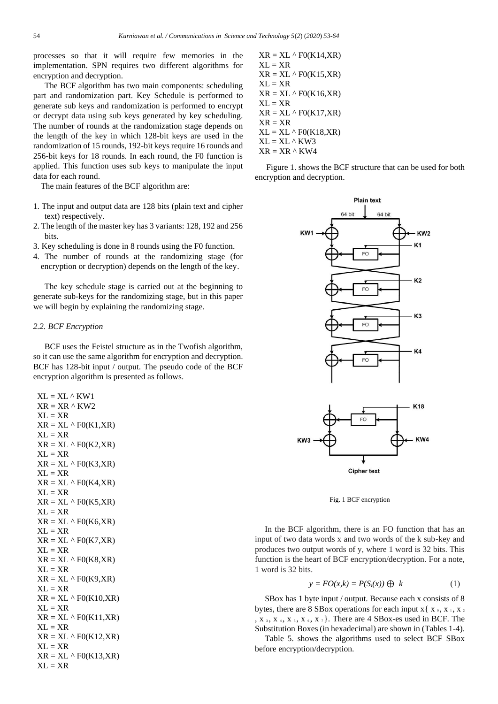processes so that it will require few memories in the implementation. SPN requires two different algorithms for encryption and decryption.

The BCF algorithm has two main components: scheduling part and randomization part. Key Schedule is performed to generate sub keys and randomization is performed to encrypt or decrypt data using sub keys generated by key scheduling. The number of rounds at the randomization stage depends on the length of the key in which 128-bit keys are used in the randomization of 15 rounds, 192-bit keys require 16 rounds and 256-bit keys for 18 rounds. In each round, the F0 function is applied. This function uses sub keys to manipulate the input data for each round.

The main features of the BCF algorithm are:

- 1. The input and output data are 128 bits (plain text and cipher text) respectively.
- 2. The length of the master key has 3 variants: 128, 192 and 256 bits.
- 3. Key scheduling is done in 8 rounds using the F0 function.
- 4. The number of rounds at the randomizing stage (for encryption or decryption) depends on the length of the key.

The key schedule stage is carried out at the beginning to generate sub-keys for the randomizing stage, but in this paper we will begin by explaining the randomizing stage.

# *2.2. BCF Encryption*

BCF uses the Feistel structure as in the Twofish algorithm, so it can use the same algorithm for encryption and decryption. BCF has 128-bit input / output. The pseudo code of the BCF encryption algorithm is presented as follows.

```
XL = XL \wedge KW1XR = XR \land KW2XL = XRXR = XL \wedge F0(K1,XR)XL = XRXR = XL \wedge F0(K2,XR)XL = XRXR = XL \wedge F0(K3,XR)XL = XRXR = XL \wedge F0(K4,XR)XL = XRXR = XL \wedge F0(K5,XR)XL = XRXR = XL \wedge F0(K6,XR)XL = XRXR = XL \wedge F0(K7,XR)XL = XRXR = XL \wedge F0(K8,XR)XL = XRXR = XL \wedge F0(K9,XR)XL = XRXR = XL \wedge F0(K10,XR)XL = XRXR = XL \wedge F0(K11,XR)XL = XRXR = XL \wedge F0(K12,XR)XL = XRXR = XL \wedge F0(K13,XR)XI = XR
```
 $XR = XL \wedge F0(K14,XR)$  $XL = XR$  $XR = XL \wedge F0(K15,XR)$  $XL = XR$  $XR = XL \wedge F0(K16,XR)$  $XL = XR$  $XR = XL \wedge F0(K17,XR)$  $XR = XR$  $XL = XL \wedge F0(K18,XR)$  $XL = XL \wedge KW3$  $XR = XR \wedge KW4$ 

Figure 1. shows the BCF structure that can be used for both encryption and decryption.



Fig. 1 BCF encryption

In the BCF algorithm, there is an FO function that has an input of two data words x and two words of the k sub-key and produces two output words of y, where 1 word is 32 bits. This function is the heart of BCF encryption/decryption. For a note, 1 word is 32 bits.

$$
y = FO(x,k) = P(S_i(x)) \oplus k \tag{1}
$$

SBox has 1 byte input / output. Because each x consists of 8 bytes, there are 8 SBox operations for each input  $x \{ x_0, x_1, x_2, x_3, x_4, x_5, x_6, x_7, x_8, x_9, x_1, x_2, x_3, x_4, x_5, x_6, x_7, x_8, x_9, x_1, x_2, x_3, x_4, x_5, x_6, x_7, x_8, x_9, x_1, x_2, x_3, x_4, x_5, x_6, x_7, x_8, x_9, x_1, x_2, x_3, x_4, x_5$ ,  $X_3$ ,  $X_4$ ,  $X_5$ ,  $X_6$ ,  $X_7$ . There are 4 SBox-es used in BCF. The Substitution Boxes (in hexadecimal) are shown in (Tables 1-4).

Table 5. shows the algorithms used to select BCF SBox before encryption/decryption.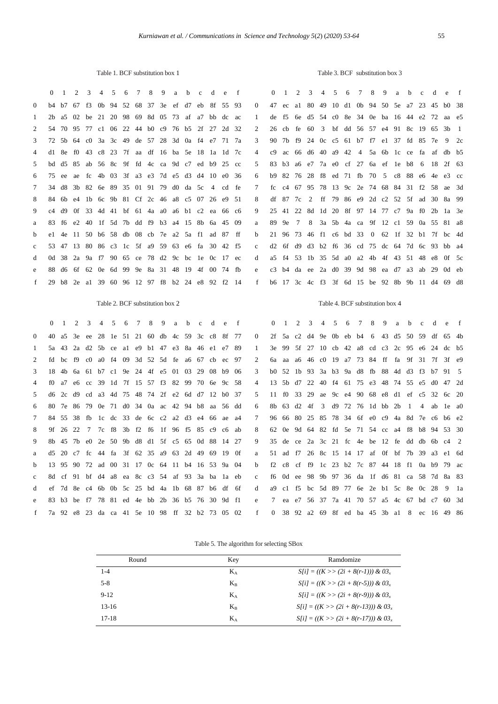Table 1. BCF substitution box 1

|  |  |  |  |  |  |  |  | 0 1 2 3 4 5 6 7 8 9 a b c d e f 0 1 2 3 4 5 6 7 8 9 a b c |  |  |  |  |  |  |  |
|--|--|--|--|--|--|--|--|-----------------------------------------------------------|--|--|--|--|--|--|--|

Table 3. BCF substitution box 3

| $\Omega$       |                                                 |  |  |  |  |  |  |                                                 | b4 b7 67 f3 0b 94 52 68 37 3e ef d7 eb 8f 55 93 | $\overline{0}$                                    |  | 47 ec al 80 49 10 d1 0b 94 50 5e a7 23 45 b0 38 |  |  |  |  |  |  |
|----------------|-------------------------------------------------|--|--|--|--|--|--|-------------------------------------------------|-------------------------------------------------|---------------------------------------------------|--|-------------------------------------------------|--|--|--|--|--|--|
| -1             |                                                 |  |  |  |  |  |  | 2b a5 02 be 21 20 98 69 8d 05 73 af a7 bb dc ac |                                                 | $\mathbf{1}$                                      |  | de f5 6e d5 54 c0 8e 34 0e ba 16 44 e2 72 aa e5 |  |  |  |  |  |  |
| 2              |                                                 |  |  |  |  |  |  | 54 70 95 77 c1 06 22 44 b0 c9 76 b5 2f 27 2d 32 |                                                 | $\mathcal{L}$                                     |  | 26 cb fe 60 3 bf dd 56 57 e4 91 8c 19 65 3b 1   |  |  |  |  |  |  |
| 3              |                                                 |  |  |  |  |  |  | 72 5b 64 c0 3a 3c 49 de 57 28 3d 0a f4 e7 71 7a |                                                 | $\mathcal{R}$                                     |  | 90 7b f9 24 0c c5 61 b7 f7 e1 37 fd 85 7e 9 2c  |  |  |  |  |  |  |
| $\overline{4}$ |                                                 |  |  |  |  |  |  | d1 8e f0 43 c8 23 7f aa df 16 ba 5e 18 1a 1d 7c |                                                 | 4                                                 |  | c9 ac 66 d6 40 a9 42 4 5a 6b 1c ce fa af db b5  |  |  |  |  |  |  |
| 5              |                                                 |  |  |  |  |  |  | bd d5 85 ab 56 8c 9f fd 4c ca 9d c7 ed b9 25 cc |                                                 | .5                                                |  | 83 b3 a6 e7 7a e0 cf 27 6a ef 1e b8 6 18 2f 63  |  |  |  |  |  |  |
| 6              |                                                 |  |  |  |  |  |  | 75 ee ae fc 4b 03 3f a3 e3 7d e5 d3 d4 10 e0 36 |                                                 | 6                                                 |  | b9 82 76 28 f8 ed 71 fb 70 5 c8 88 e6 4e e3 cc  |  |  |  |  |  |  |
| 7              |                                                 |  |  |  |  |  |  | 34 d8 3b 82 6e 89 35 01 91 79 d0 da 5c 4 cd fe  |                                                 | $7\phantom{0}$                                    |  | fc c4 67 95 78 13 9c 2e 74 68 84 31 f2 58 ae 3d |  |  |  |  |  |  |
| 8              |                                                 |  |  |  |  |  |  | 84 6b e4 1b 6c 9b 81 Cf 2c 46 a8 c5 07 26 e9 51 |                                                 | 8                                                 |  | df 87 7c 2 ff 79 86 e9 2d c2 52 5f ad 30 8a 99  |  |  |  |  |  |  |
| 9              |                                                 |  |  |  |  |  |  | c4 d9 0f 33 4d 41 bf 61 4a a0 a6 b1 c2 ea 66 c6 |                                                 | 9                                                 |  | 25 41 22 8d 1d 20 8f 97 14 77 c7 9a f0 2b 1a 3e |  |  |  |  |  |  |
| a              |                                                 |  |  |  |  |  |  | 83 f6 e2 40 lf 5d 7b dd f9 b3 a4 15 8b 6a 45 09 |                                                 | a                                                 |  | 89 9e 7 8 3a 5b 4a ca 9f 12 c1 59 0a 55 81 a8   |  |  |  |  |  |  |
| b              |                                                 |  |  |  |  |  |  | e1 4e 11 50 b6 58 db 08 cb 7e a2 5a f1 ad 87 ff |                                                 | h.                                                |  | 21 96 73 46 f1 c6 bd 33 0 62 1f 32 b1 7f bc 4d  |  |  |  |  |  |  |
| $\mathbf{c}$   |                                                 |  |  |  |  |  |  | 53 47 13 80 86 c3 1c 5f a9 59 63 e6 fa 30 42 f5 |                                                 | $\mathbf{c}$                                      |  | d2 6f d9 d3 b2 f6 36 cd 75 dc 64 7d 6c 93 bb a4 |  |  |  |  |  |  |
| d              |                                                 |  |  |  |  |  |  | 0d 38 2a 9a f7 90 65 ce 78 d2 9c bc 1e 0c 17 ec |                                                 | $\mathbf{d}$                                      |  | a5 f4 53 lb 35 5d a0 a2 4b 4f 43 51 48 e8 0f 5c |  |  |  |  |  |  |
| e.             | 88 d6 6f 62 0e 6d 99 9e 8a 31 48 19 4f 00 74 fb |  |  |  |  |  |  |                                                 |                                                 | e c3 b4 da ee 2a d0 39 9d 98 ea d7 a3 ab 29 0d eb |  |                                                 |  |  |  |  |  |  |
| f              |                                                 |  |  |  |  |  |  | 29 b8 2e al 39 60 96 12 97 f8 b2 24 e8 92 f2 14 |                                                 | f                                                 |  | b6 17 3c 4c f3 3f 6d 15 be 92 8b 9b 11 d4 69 d8 |  |  |  |  |  |  |
|                |                                                 |  |  |  |  |  |  |                                                 |                                                 |                                                   |  |                                                 |  |  |  |  |  |  |

Table 2. BCF substitution box 2

Table 4. BCF substitution box 4

|              |                                                 | 0 1 2 3 4 5 6 7 8 9 a b c d e f                 |  |  |  |  |  |  |                |  |  |  |  |  |  |  | 0 1 2 3 4 5 6 7 8 9 a b c d e f                 |  |
|--------------|-------------------------------------------------|-------------------------------------------------|--|--|--|--|--|--|----------------|--|--|--|--|--|--|--|-------------------------------------------------|--|
| $\Omega$     |                                                 | 40 a5 3e ee 28 1e 51 21 60 db 4c 59 3c c8 8f 77 |  |  |  |  |  |  | $\Omega$       |  |  |  |  |  |  |  | 2f 5a c2 d4 9e 0b eb b4 6 43 d5 50 59 df 65 4b  |  |
| 1.           |                                                 | 5a 43 2a d2 5b ce al e9 bl 47 e3 8a 46 e1 e7 89 |  |  |  |  |  |  |                |  |  |  |  |  |  |  | 3e 99 5f 27 10 cb 42 a8 cd c3 2c 95 e6 24 dc b5 |  |
| 2            |                                                 | fd bc f9 c0 a0 f4 09 3d 52 5d fe a6 67 cb ec 97 |  |  |  |  |  |  | $\mathcal{D}$  |  |  |  |  |  |  |  | 6a aa a6 46 c0 19 a7 73 84 ff fa 9f 31 7f 3f e9 |  |
| 3            |                                                 | 18 4b 6a 61 b7 c1 9e 24 4f e5 01 03 29 08 b9 06 |  |  |  |  |  |  | $\mathcal{R}$  |  |  |  |  |  |  |  | b0 52 1b 93 3a b3 9a d8 fb 88 4d d3 f3 b7 91 5  |  |
| 4            |                                                 | f0 a7 e6 cc 39 1d 7f 15 57 f3 82 99 70 6e 9c 58 |  |  |  |  |  |  | $\overline{4}$ |  |  |  |  |  |  |  | 13 5b d7 22 40 f4 61 75 e3 48 74 55 e5 d0 47 2d |  |
| .5           |                                                 | d6 2c d9 cd a3 4d 75 48 74 2f e2 6d d7 12 b0 37 |  |  |  |  |  |  | 5              |  |  |  |  |  |  |  | 11 f0 33 29 ae 9c e4 90 68 e8 d1 ef c5 32 6c 20 |  |
| 6            |                                                 | 80 7e 86 79 0e 71 d0 34 0a ac 42 94 b8 aa 56 dd |  |  |  |  |  |  | 6              |  |  |  |  |  |  |  | 8b 63 d2 4f 3 d9 72 76 1d bb 2b 1 4 ab 1e a0    |  |
| $\tau$       |                                                 | 84 55 38 fb 1c dc 33 de 6c c2 a2 d3 e4 66 ae a4 |  |  |  |  |  |  |                |  |  |  |  |  |  |  | 96 66 80 25 85 78 34 6f e0 c9 4a 8d 7e c6 b6 e2 |  |
| 8            |                                                 | 9f 26 22 7 7c f8 3b f2 f6 1f 96 f5 85 c9 c6 ab  |  |  |  |  |  |  |                |  |  |  |  |  |  |  | 62 0e 9d 64 82 fd 5e 71 54 cc a4 f8 b8 94 53 30 |  |
| 9            |                                                 | 8b 45 7b e0 2e 50 9b d8 d1 5f c5 65 0d 88 14 27 |  |  |  |  |  |  | 9              |  |  |  |  |  |  |  | 35 de ce 2a 3c 21 fc 4e be 12 fe dd db 6b c4 2  |  |
| a            |                                                 | d5 20 c7 fc 44 fa 3f 62 35 a9 63 2d 49 69 19 0f |  |  |  |  |  |  | a              |  |  |  |  |  |  |  | 51 ad f7 26 8c 15 14 17 af 0f bf 7b 39 a3 e1 6d |  |
| b            |                                                 | 13 95 90 72 ad 00 31 17 0c 64 11 b4 16 53 9a 04 |  |  |  |  |  |  | h.             |  |  |  |  |  |  |  | f2 c8 cf f9 1c 23 b2 7c 87 44 18 f1 0a b9 79 ac |  |
| $\mathbf{c}$ |                                                 | 8d cf 91 bf d4 a8 ea 8c c3 54 af 93 3a ba 1a eb |  |  |  |  |  |  | $\mathbf{c}$   |  |  |  |  |  |  |  | f6 0d ee 98 9b 97 36 da 1f d6 81 ca 58 7d 8a 83 |  |
| d            |                                                 | ef 7d 8e c4 6b 0b 5c 25 bd 4a 1b 68 87 b6 df 6f |  |  |  |  |  |  | d              |  |  |  |  |  |  |  | a9 c1 f5 bc 5d 89 77 6e 2e b1 5c 8e 0c 28 9 1a  |  |
| e            |                                                 | 83 b3 be f7 78 81 ed 4e bb 2b 36 b5 76 30 9d f1 |  |  |  |  |  |  | e              |  |  |  |  |  |  |  | 7 ea e7 56 37 7a 41 70 57 a5 4c 67 bd c7 60 3d  |  |
| f            | 7a 92 e8 23 da ca 41 5e 10 98 ff 32 b2 73 05 02 |                                                 |  |  |  |  |  |  | f              |  |  |  |  |  |  |  | 0 38 92 a2 69 8f ed ba 45 3b a1 8 ec 16 49 86   |  |

| Round    | Key     | Ramdomize                               |
|----------|---------|-----------------------------------------|
| $1 - 4$  | $K_A$   | $S[i] = ((K \gg (2i + 8(r-1))) \& 03_r$ |
| $5-8$    | $K_{R}$ | $S[i] = ((K \gg (2i + 8(r-5))) \& 03_r$ |
| $9 - 12$ | $K_A$   | $S[i] = ((K \gg (2i + 8(r-9))) \& 03x$  |
| $13-16$  | $K_{R}$ | $S[i] = ((K \gg (2i + 8(r-13))) \& 03$  |
| $17-18$  | $K_A$   | $S[i] = ((K \gg (2i + 8(r-17))) \& 03$  |

 $d$  e f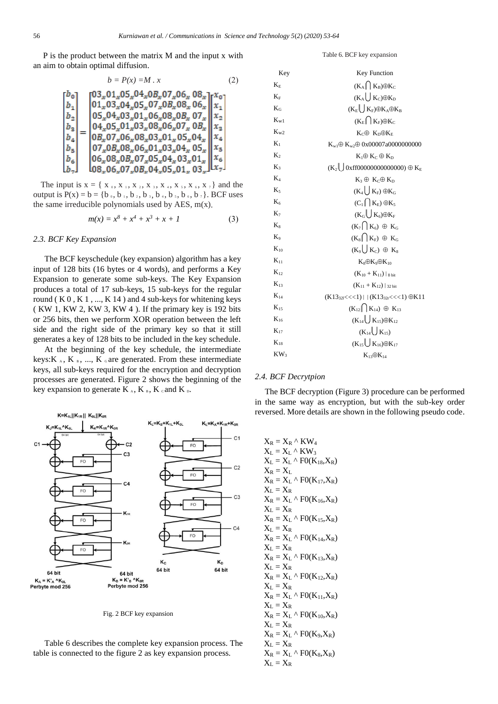P is the product between the matrix M and the input x with an aim to obtain optimal diffusion.

$$
b = P(x) = M \cdot x \tag{2}
$$

$$
\begin{bmatrix} b_0 \\ b_1 \\ b_2 \\ b_3 \\ b_4 \\ b_5 \\ b_6 \\ b_7 \end{bmatrix} = \begin{bmatrix} 03_x 01_x 05_x 04_x 08_x 07_x 06_x 08_x 08_x \\ 01_x 03_x 04_x 05_x 07_x 08_x 08_x 06_x 06_x \\ 05_x 04_x 03_x 01_x 06_x 08_x 08_x 07_x 08_x \\ 04_x 05_x 01_x 03_x 08_x 06_x 07_x 08_x \\ 07_x 08_x 08_x 03_x 01_x 05_x 04_x 05_x \\ 07_x 08_x 08_x 06_x 01_x 03_x 04_x 05_x \\ 06_x 08_x 08_x 07_x 05_x 04_x 03_x 01_x 08_x \\ 08_x 06_x 07_x 08_x 04_x 05_x 01_x 03_x \\ 08_x 06_x 07_x 08_x 04_x 05_x 01_x 03_x \\ \end{bmatrix} \begin{bmatrix} x_0 \\ x_1 \\ x_2 \\ x_3 \\ x_4 \\ x_5 \\ x_6 \\ x_7 \end{bmatrix}
$$

The input is  $x = \{ x_0, x_1, x_2, x_3, x_4, x_5, x_6, x_7 \}$  and the output is  $P(x) = b = \{b_0, b_1, b_2, b_3, b_4, b_5, b_6, b_7\}$ . BCF uses the same irreducible polynomials used by AES, m(x).

$$
m(x) = x^8 + x^4 + x^3 + x + 1 \tag{3}
$$

### *2.3. BCF Key Expansion*

The BCF keyschedule (key expansion) algorithm has a key input of 128 bits (16 bytes or 4 words), and performs a Key Expansion to generate some sub-keys. The Key Expansion produces a total of 17 sub-keys, 15 sub-keys for the regular round ( $K$  0,  $K$  1, ...,  $K$  14) and 4 sub-keys for whitening keys ( KW 1, KW 2, KW 3, KW 4 ). If the primary key is 192 bits or 256 bits, then we perform XOR operation between the left side and the right side of the primary key so that it still generates a key of 128 bits to be included in the key schedule.

At the beginning of the key schedule, the intermediate keys: K<sub>A</sub>, K<sub>B</sub>, ..., K<sub>G</sub> are generated. From these intermediate keys, all sub-keys required for the encryption and decryption processes are generated. Figure 2 shows the beginning of the key expansion to generate  $K_A$ ,  $K_B$ ,  $K_C$  and  $K_D$ .



Fig. 2 BCF key expansion

Table 6 describes the complete key expansion process. The table is connected to the figure 2 as key expansion process.

#### Table 6. BCF key expansion

| Key            | <b>Key Function</b>                                  |
|----------------|------------------------------------------------------|
| $K_E$          | $(K_A \cap K_B) \oplus K_C$                          |
| $K_{\rm F}$    | $(K_A \bigcup K_C) \oplus K_D$                       |
| $K_G$          | $(K_E\bigcup K_F)\oplus K_A\oplus K_B$               |
| $K_{W1}$       | $(K_E \cap K_F) \oplus K_C$                          |
| $K_{W2}$       | $K_C \oplus K_D \oplus K_E$                          |
| $K_1$          | $K_{w1} \oplus K_{w2} \oplus 0x00007a0000000000$     |
| K <sub>2</sub> | $K_1 \oplus K_C \oplus K_D$                          |
| $K_3$          | $(K_2 \bigcup 0 \times ff00000000000000) \oplus K_E$ |
| $K_4$          | $K_3 \oplus K_0 \oplus K_0$                          |
| $K_5$          | $(K_4\bigcup K_F)\oplus K_G$                         |
| $K_6$          | $(C_1 \cap K_E) \oplus K_5$                          |
| $K_7$          | $(K_G \bigcup K_6) \oplus K_F$                       |
| $K_8$          | $(K_7 \cap K_6) \oplus K_G$                          |
| $K_9$          | $(K_8 \bigcap K_F) \oplus K_G$                       |
| $K_{10}$       | $(K_9\bigcup K_C) \oplus K_8$                        |
| $K_{11}$       | $K_8 \oplus K_9 \oplus K_{10}$                       |
| $K_{12}$       | $(K_{10} + K_{11})  _{8 \text{ bit}}$                |
| $K_{13}$       | $(K_{11} + K_{12})$ 32 bit                           |
| $K_{14}$       | $(K13_{321}<<1)$   $(K13_{321}<<1)$ $\oplus K11$     |
| $K_{15}$       | $(K_{12} \cap K_{14}) \oplus K_{13}$                 |
| $K_{16}$       | $(K_{14}\bigcup K_{15})\oplus K_{12}$                |
| $K_{17}$       | $(K_{14} \bigcup K_{15})$                            |
| $K_{18}$       | $(K_{15}\bigcup K_{16})\oplus K_{17}$                |
| $KW_3$         | $K_{13}\oplus K_{14}$                                |

### *2.4. BCF Decrytpion*

The BCF decryption (Figure 3) procedure can be performed in the same way as encryption, but with the sub-key order reversed. More details are shown in the following pseudo code.

 $X_R = X_R \wedge KW_4$  $X_L = X_L \wedge KW_3$  $X_L = X_L \wedge F0(K_{18}, X_R)$  $X_R = X_L$  $X_R = X_L \wedge F0(K_{17}, X_R)$  $X_L = X_R$  $X_R = X_L \wedge F0(K_{16}, X_R)$  $X_L = X_R$  $X_R = X_L \wedge F0(K_{15}, X_R)$  $X_L = X_R$  $X_R = X_L \wedge F0(K_{14}, X_R)$  $X_L = X_R$  $X_R = X_L \wedge F0(K_{13}, X_R)$  $X_L = X_R$  $X_R = X_L \wedge F0(K_{12}, X_R)$  $X_L = X_R$  $X_R = X_L \wedge F0(K_{11}, X_R)$  $X_L = X_R$  $X_R = X_L \wedge F0(K_{10}, X_R)$  $X_L = X_R$  $X_R = X_L \wedge F0(K_9, X_R)$  $X_L = X_R$  $X_R = X_L \wedge F0(K_8, X_R)$  $X_L = X_R$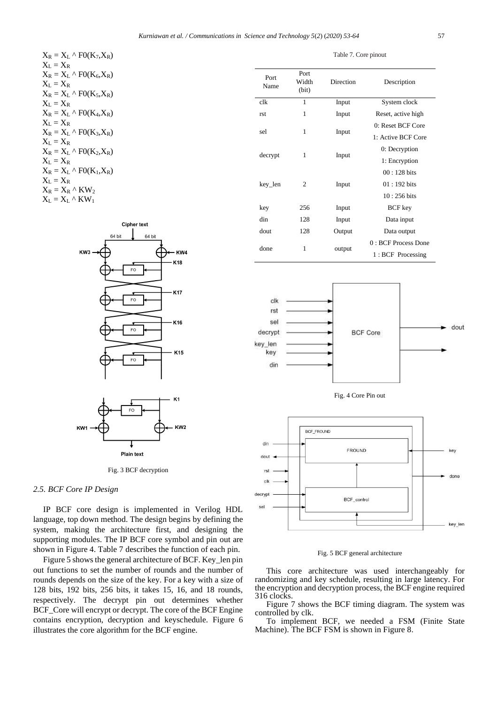| $X_R = X_L \wedge F0(K_7,X_R)$  |
|---------------------------------|
| $X_L = X_R$                     |
| $X_R = X_L \wedge F0(K_6,X_R)$  |
| $X_L = X_R$                     |
| $X_R = X_L \wedge F0(K_5,X_R)$  |
| $X_L = X_R$                     |
| $X_R = X_L \wedge F0(K_4, X_R)$ |
| $X_L = X_R$                     |
| $X_R = X_L \wedge F0(K_3,X_R)$  |
| $X_L = X_R$                     |
| $X_R = X_L \wedge F0(K_2,X_R)$  |
| $X_L = X_R$                     |
| $X_R = X_L \wedge F0(K_1, X_R)$ |
| $X_L = X_R$                     |
| $X_R = X_R \wedge KW_2$         |
| $X_L = X_L \wedge KW_1$         |



Fig. 3 BCF decryption

# *2.5. BCF Core IP Design*

IP BCF core design is implemented in Verilog HDL language, top down method. The design begins by defining the system, making the architecture first, and designing the supporting modules. The IP BCF core symbol and pin out are shown in Figure 4. Table 7 describes the function of each pin.

Figure 5 shows the general architecture of BCF. Key\_len pin out functions to set the number of rounds and the number of rounds depends on the size of the key. For a key with a size of 128 bits, 192 bits, 256 bits, it takes 15, 16, and 18 rounds, respectively. The decrypt pin out determines whether BCF Core will encrypt or decrypt. The core of the BCF Engine contains encryption, decryption and keyschedule. Figure 6 illustrates the core algorithm for the BCF engine.

| Port<br>Name | Port<br>Width<br>(bit) | Direction | Description           |
|--------------|------------------------|-----------|-----------------------|
| clk          | 1                      | Input     | System clock          |
| rst          | 1                      | Input     | Reset, active high    |
| sel          |                        |           | 0: Reset BCF Core     |
|              | 1                      | Input     | 1: Active BCF Core    |
|              |                        |           | 0: Decryption         |
| decrypt      | 1                      | Input     | 1: Encryption         |
|              |                        |           | $00:128$ bits         |
| key_len      | 2                      | Input     | $01:192$ bits         |
|              |                        |           | $10:256 \text{ bits}$ |
| key          | 256                    | Input     | <b>BCF</b> key        |
| din          | 128                    | Input     | Data input            |
| dout         | 128                    | Output    | Data output           |
|              |                        |           | 0 : BCF Process Done  |
| done         | 1                      | output    | 1: BCF Processing     |

Table 7. Core pinout







### Fig. 5 BCF general architecture

This core architecture was used interchangeably for randomizing and key schedule, resulting in large latency. For the encryption and decryption process, the BCF engine required 316 clocks.

Figure 7 shows the BCF timing diagram. The system was controlled by clk.

To implement BCF, we needed a FSM (Finite State Machine). The BCF FSM is shown in Figure 8.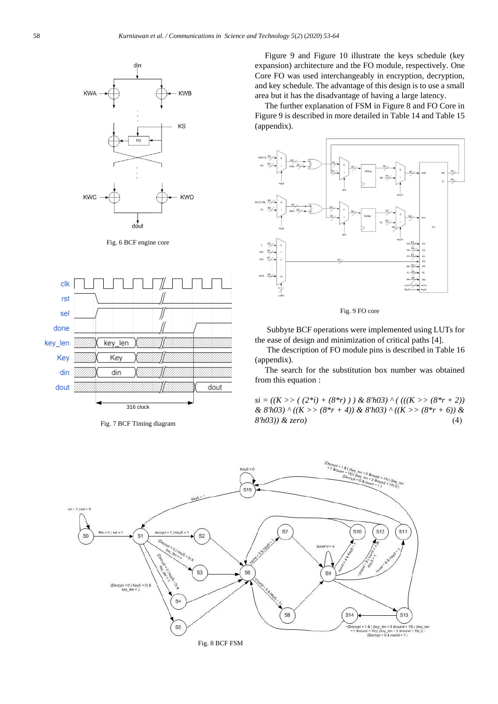

Fig. 6 BCF engine core



Fig. 7 BCF Timing diagram

Figure 9 and Figure 10 illustrate the keys schedule (key expansion) architecture and the FO module, respectively. One Core FO was used interchangeably in encryption, decryption, and key schedule. The advantage of this design is to use a small area but it has the disadvantage of having a large latency.

The further explanation of FSM in Figure 8 and FO Core in Figure 9 is described in more detailed in Table 14 and Table 15 (appendix).



Fig. 9 FO core

Subbyte BCF operations were implemented using LUTs for the ease of design and minimization of critical paths [4].

The description of FO module pins is described in Table 16 (appendix).

The search for the substitution box number was obtained from this equation :

 $si = ((K \rightarrow (2 * i) + (8 * r)) \& 8'h03) \land (((K \rightarrow (8 * r + 2)))$ *& 8'h03) ^ ((K >> (8\*r + 4)) & 8'h03) ^ ((K >> (8\*r + 6)) & 8'h03)) & zero)* ()

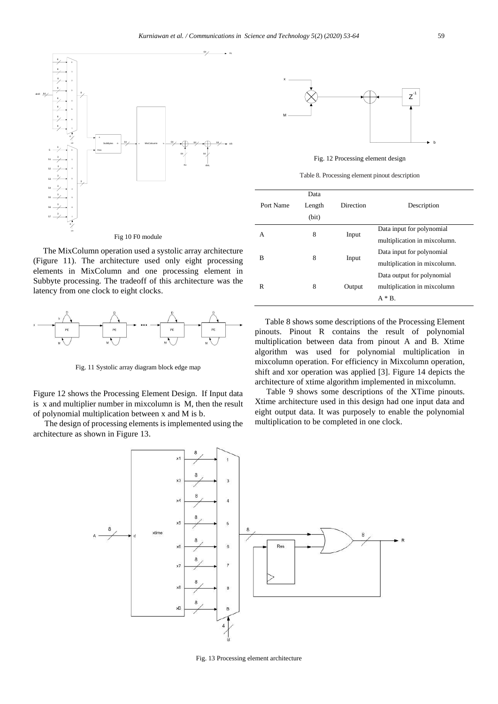

The MixColumn operation used a systolic array architecture (Figure 11). The architecture used only eight processing elements in MixColumn and one processing element in Subbyte processing. The tradeoff of this architecture was the latency from one clock to eight clocks.



Fig. 11 Systolic array diagram block edge map

Figure 12 shows the Processing Element Design. If Input data is x and multiplier number in mixcolumn is M, then the result of polynomial multiplication between x and M is b.

The design of processing elements is implemented using the architecture as shown in Figure 13.



Fig. 12 Processing element design

Table 8. Processing element pinout description

|           | Data   |           |                              |
|-----------|--------|-----------|------------------------------|
| Port Name | Length | Direction | Description                  |
|           | (bit)  |           |                              |
| А         | 8      | Input     | Data input for polynomial    |
|           |        |           | multiplication in mixcolumn. |
|           |        |           | Data input for polynomial    |
| B         | 8      | Input     | multiplication in mixcolumn. |
|           |        |           | Data output for polynomial   |
| R         | 8      | Output    | multiplication in mixcolumn  |
|           |        |           | $A * B$ .                    |
|           |        |           |                              |

Table 8 shows some descriptions of the Processing Element pinouts. Pinout R contains the result of polynomial multiplication between data from pinout A and B. Xtime algorithm was used for polynomial multiplication in mixcolumn operation. For efficiency in Mixcolumn operation, shift and xor operation was applied [3]. Figure 14 depicts the architecture of xtime algorithm implemented in mixcolumn.

Table 9 shows some descriptions of the XTime pinouts. Xtime architecture used in this design had one input data and eight output data. It was purposely to enable the polynomial multiplication to be completed in one clock.



Fig. 13 Processing element architecture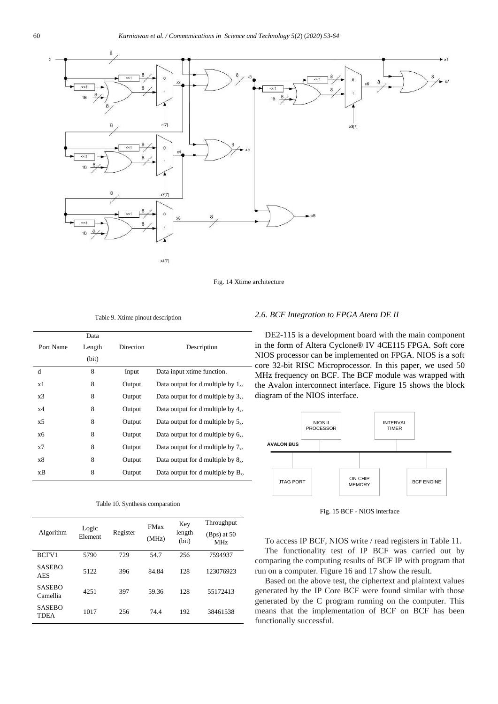

Fig. 14 Xtime architecture

Table 9. Xtime pinout description

|           | Data   |           |                                                 |
|-----------|--------|-----------|-------------------------------------------------|
| Port Name | Length | Direction | Description                                     |
|           | (bit)  |           |                                                 |
| d         | 8      | Input     | Data input xtime function.                      |
| x1        | 8      | Output    | Data output for d multiple by $1_{x}$ .         |
| x3        | 8      | Output    | Data output for d multiple by $3_x$ .           |
| x4        | 8      | Output    | Data output for d multiple by $4_x$ .           |
| x5        | 8      | Output    | Data output for d multiple by $5x$ .            |
| x6        | 8      | Output    | Data output for d multiple by $6_x$ .           |
| x7        | 8      | Output    | Data output for d multiple by $7x$ .            |
| x8        | 8      | Output    | Data output for d multiple by $\mathcal{S}_x$ . |
| xВ        | 8      | Output    | Data output for d multiple by $B_x$ .           |

|  |  | Table 10. Synthesis comparation |
|--|--|---------------------------------|
|--|--|---------------------------------|

| Algorithm                    | Logic<br>Element | Register | <b>FMax</b><br>(MHz) | Key<br>length<br>(bit) | Throughput<br>$(Bps)$ at 50<br>MHz |
|------------------------------|------------------|----------|----------------------|------------------------|------------------------------------|
| BCFV1                        | 5790             | 729      | 54.7                 | 256                    | 7594937                            |
| <b>SASEBO</b><br>AES         | 5122             | 396      | 84.84                | 128                    | 123076923                          |
| <b>SASEBO</b><br>Camellia    | 4251             | 397      | 59.36                | 128                    | 55172413                           |
| <b>SASEBO</b><br><b>TDEA</b> | 1017             | 256      | 74.4                 | 192                    | 38461538                           |

# *2.6. BCF Integration to FPGA Atera DE II*

DE2-115 is a development board with the main component in the form of Altera Cyclone® IV 4CE115 FPGA. Soft core NIOS processor can be implemented on FPGA. NIOS is a soft - core 32-bit RISC Microprocessor. In this paper, we used 50 MHz frequency on BCF. The BCF module was wrapped with the Avalon interconnect interface. Figure 15 shows the block diagram of the NIOS interface.



Fig. 15 BCF - NIOS interface

To access IP BCF, NIOS write / read registers in Table 11. The functionality test of IP BCF was carried out by comparing the computing results of BCF IP with program that run on a computer. Figure 16 and 17 show the result.

Based on the above test, the ciphertext and plaintext values generated by the IP Core BCF were found similar with those generated by the C program running on the computer. This means that the implementation of BCF on BCF has been functionally successful.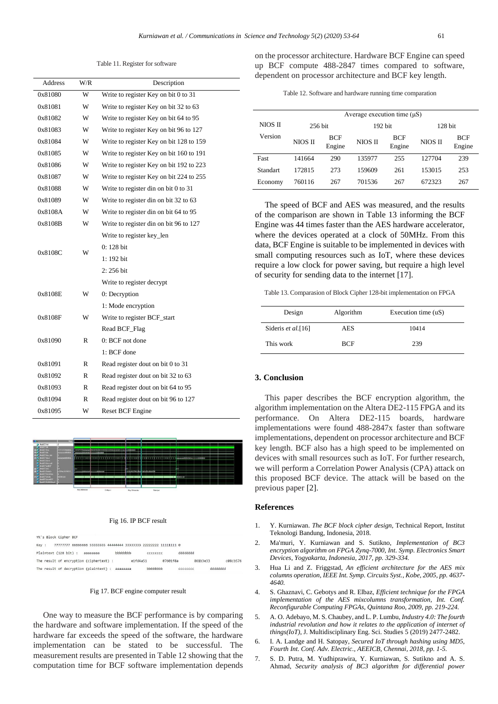Table 11. Register for software

| Address | W/R | Description                              |
|---------|-----|------------------------------------------|
| 0x81080 | W   | Write to register Key on bit 0 to 31     |
| 0x81081 | W   | Write to register Key on bit 32 to 63    |
| 0x81082 | W   | Write to register Key on bit 64 to 95    |
| 0x81083 | W   | Write to register Key on bit 96 to 127   |
| 0x81084 | W   | Write to register Key on bit 128 to 159  |
| 0x81085 | W   | Write to register Key on bit 160 to 191  |
| 0x81086 | W   | Write to register Key on bit 192 to 223  |
| 0x81087 | W   | Write to register Key on bit 224 to 255  |
| 0x81088 | W   | Write to register din on bit $0$ to $31$ |
| 0x81089 | W   | Write to register din on bit 32 to 63    |
| 0x8108A | W   | Write to register din on bit 64 to 95    |
| 0x8108B | W   | Write to register din on bit 96 to 127   |
|         |     | Write to register key_len                |
|         | W   | $0:128$ bit                              |
| 0x8108C |     | 1: 192 bit                               |
|         |     | 2:256 bit                                |
|         |     | Write to register decrypt                |
| 0x8108E | W   | 0: Decryption                            |
|         |     | 1: Mode encryption                       |
| 0x8108F | W   | Write to register BCF_start              |
|         |     | Read BCF_Flag                            |
| 0x81090 | R   | 0: BCF not done                          |
|         |     | 1: BCF done                              |
| 0x81091 | R   | Read register dout on bit 0 to 31        |
| 0x81092 | R   | Read register dout on bit 32 to 63       |
| 0x81093 | R   | Read register dout on bit 64 to 95       |
| 0x81094 | R   | Read register dout on bit 96 to 127      |
| 0x81095 | W   | <b>Reset BCF Engine</b>                  |



#### Fig 16. IP BCF result

| YK's Block Cipher BCF                                                     |          |          |          |                  |
|---------------------------------------------------------------------------|----------|----------|----------|------------------|
| 77777777 66666666 55555555 44444444 33333333 22222222 11111111 0<br>Key : |          |          |          |                  |
| Plaintext (128 bit) :<br>ававава                                          | bbbbbbb  | cccccccc | dddddddd |                  |
| The result of encryption (ciphertext) :                                   | e1fd4a51 | 07601f8a | 861b3e33 | $c$ $8c$ $b$ 576 |
| The result of decryption (plaintext) :                                    | aaaaaaaa | hhhhhhh  | CCCCCCCC | hbbbbbbb         |

#### Fig 17. BCF engine computer result

One way to measure the BCF performance is by comparing the hardware and software implementation. If the speed of the hardware far exceeds the speed of the software, the hardware implementation can be stated to be successful. The measurement results are presented in Table 12 showing that the computation time for BCF software implementation depends on the processor architecture. Hardware BCF Engine can speed up BCF compute 488-2847 times compared to software, dependent on processor architecture and BCF key length.

|  |  | Table 12. Software and hardware running time comparation |
|--|--|----------------------------------------------------------|

|          | Average execution time $(\mu S)$ |               |         |                      |           |                      |  |
|----------|----------------------------------|---------------|---------|----------------------|-----------|----------------------|--|
| NIOS II  | 256 bit                          |               | 192 bit |                      | $128$ bit |                      |  |
| Version  | NIOS II                          | BCF<br>Engine | NIOS II | <b>BCF</b><br>Engine | NIOS II   | <b>BCF</b><br>Engine |  |
| Fast     | 141664                           | 290           | 135977  | 255                  | 127704    | 239                  |  |
| Standart | 172815                           | 273           | 159609  | 261                  | 153015    | 253                  |  |
| Economy  | 760116                           | 267           | 701536  | 267                  | 672323    | 267                  |  |

The speed of BCF and AES was measured, and the results of the comparison are shown in Table 13 informing the BCF Engine was 44 times faster than the AES hardware accelerator, where the devices operated at a clock of 50MHz. From this data, BCF Engine is suitable to be implemented in devices with small computing resources such as IoT, where these devices require a low clock for power saving, but require a high level of security for sending data to the internet [17].

Table 13. Comparasion of Block Cipher 128-bit implementation on FPGA

| Design             | Algorithm  | Execution time (uS) |
|--------------------|------------|---------------------|
| Sideris et al.[16] | <b>AES</b> | 10414               |
| This work          | <b>BCF</b> | 239                 |

### **3. Conclusion**

This paper describes the BCF encryption algorithm, the algorithm implementation on the Altera DE2-115 FPGA and its performance. On Altera DE2-115 boards, hardware implementations were found 488-2847x faster than software implementations, dependent on processor architecture and BCF key length. BCF also has a high speed to be implemented on devices with small resources such as IoT. For further research, we will perform a Correlation Power Analysis (CPA) attack on this proposed BCF device. The attack will be based on the previous paper [2].

### **References**

- 1. Y. Kurniawan. *The BCF block cipher design*, Technical Report, Institut Teknologi Bandung, Indonesia, 2018.
- 2. Ma'muri, Y. Kurniawan and S. Sutikno, *Implementation of BC3 encryption algorithm on FPGA Zynq-7000*, *Int. Symp. Electronics Smart Devices, Yogyakarta, Indonesia, 2017, pp. 329-334.*
- 3. Hua Li and Z. Friggstad, *An efficient architecture for the AES mix columns operation*, *IEEE Int. Symp. Circuits Syst., Kobe, 2005, pp. 4637- 4640.*
- 4. S. Ghaznavi, C. Gebotys and R. Elbaz, *Efficient technique for the FPGA*  implementation of the AES mixcolumns transformation, Int. Conf. *Reconfigurable Computing FPGAs, Quintana Roo, 2009, pp. 219-224.*
- 5. A. O. Adebayo, M. S. Chaubey, and L. P. Lumbu, *Industry 4.0: The fourth*  industrial revolution and how it relates to the application of internet of *things(IoT)*, J. Multidisciplinary Eng. Sci. Studies 5 (2019) 2477-2482.
- 6. I. A. Landge and H. Satopay, *Secured IoT through hashing using MD5, Fourth Int. Conf. Adv. Electric., AEEICB, Chennai, 2018, pp. 1-5.*
- 7. S. D. Putra, M. Yudhiprawira, Y. Kurniawan, S. Sutikno and A. S. Ahmad, *Security analysis of BC3 algorithm for differential power*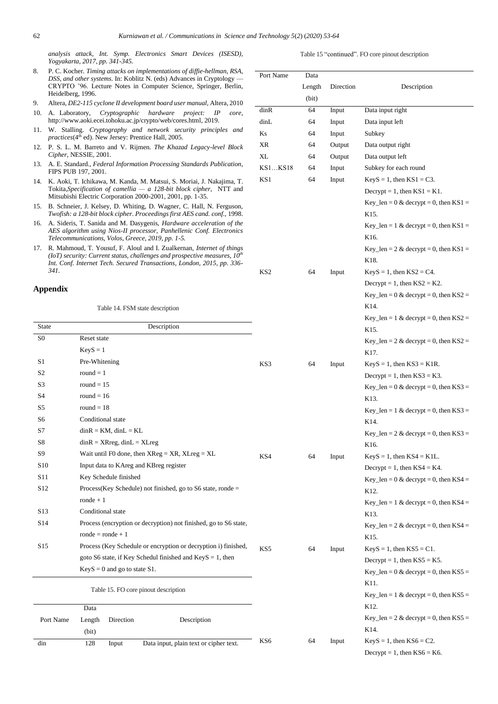*analysis attack*, *Int. Symp. Electronics Smart Devices (ISESD), Yogyakarta, 2017, pp. 341-345.*

- 8. P. C. Kocher. *Timing attacks on implementations of diffie-hellman, RSA, DSS, and other systems*. In: Koblitz N. (eds) Advances in Cryptol CRYPTO '96. Lecture Notes in Computer Science, Springer, Heidelberg, 1996.
- 9. Altera, *DE2-115 cyclone II development board user manual*, Altera
- 10. A. Laboratory, *Cryptographic hardware project: IP core*, http://www.aoki.ecei.tohoku.ac.jp/crypto/web/cores.html, 2019.
- 11. W. Stalling. *Cryptography and network security principles and*  practices(4<sup>th</sup> ed). New Jersey: Prentice Hall, 2005.
- 12. P. S. L. M. Barreto and V. Rijmen. *The Khazad Legacy-level Block Cipher*, NESSIE, 2001.
- 13. A. E. Standard., *Federal Information Processing Standards Publication*, FIPS PUB 197, 2001.
- 14. K. Aoki, T. Ichikawa, M. Kanda, M. Matsui, S. Moriai, J. Nakajima, T. Tokita*,Specification of camellia — a 128-bit block cipher*, NTT and Mitsubishi Electric Corporation 2000-2001, 2001, pp. 1-35.
- 15. B. Schneier, J. Kelsey, D. Whiting, D. Wagner, C. Hall, N. Ferguson, *Twofish: a 128-bit block cipher*. *Proceedings first AES cand. conf.*, 1998.
- 16. A. Sideris, T. Sanida and M. Dasygenis, *Hardware acceleration of the AES algorithm using Nios-II processor, Panhellenic Conf. Electronics Telecommunications, Volos, Greece, 2019, pp. 1-5.*
- 17. R. Mahmoud, T. Yousuf, F. Aloul and I. Zualkernan, *Internet of things (IoT) security: Current status, challenges and prospective measures, 10th Int. Conf. Internet Tech. Secured Transactions, London, 2015, pp. 336- 341.*

# **Appendix**

(bit)

din 128 Input Data input, plain text or cipher text.

Table 14. FSM state description

| <b>State</b>    | Description                                                      |     |    |       |
|-----------------|------------------------------------------------------------------|-----|----|-------|
| S <sub>0</sub>  | Reset state                                                      |     |    |       |
|                 | $KeyS = 1$                                                       |     |    |       |
| S1              | Pre-Whitening                                                    | KS3 | 64 | Input |
| S <sub>2</sub>  | round $= 1$                                                      |     |    |       |
| S <sub>3</sub>  | round $= 15$                                                     |     |    |       |
| S4              | round $= 16$                                                     |     |    |       |
| S5              | round $= 18$                                                     |     |    |       |
| S6              | Conditional state                                                |     |    |       |
| S7              | $\text{d}$ in $\text{R}$ = KM, $\text{d}$ in $\text{L}$ = KL     |     |    |       |
| S8              | $\text{d}$ inR = XRreg, $\text{d}$ inL = XLreg                   |     |    |       |
| S <sub>9</sub>  | Wait until F0 done, then $XReg = XR$ , $XLreg = XL$              | KS4 | 64 | Input |
| S <sub>10</sub> | Input data to KAreg and KBreg register                           |     |    |       |
| S11             | Key Schedule finished                                            |     |    |       |
| S <sub>12</sub> | Process(Key Schedule) not finished, go to S6 state, ronde $=$    |     |    |       |
|                 | $\text{node} + 1$                                                |     |    |       |
| S13             | Conditional state                                                |     |    |       |
| S14             | Process (encryption or decryption) not finished, go to S6 state, |     |    |       |
|                 | $\text{ronde} = \text{ronde} + 1$                                |     |    |       |
| S <sub>15</sub> | Process (Key Schedule or encryption or decryption i) finished,   | KS5 | 64 | Input |
|                 | goto S6 state, if Key Schedul finished and KeyS = 1, then        |     |    |       |
|                 | $KeyS = 0$ and go to state S1.                                   |     |    |       |
|                 | Table 15. FO core pinout description                             |     |    |       |
|                 | Data                                                             |     |    |       |
| Port Name       | Description<br>Length<br>Direction                               |     |    |       |

| 1.1011<br>$_{\rm O2V}$ — | Port Name | Data  |                  |  |
|--------------------------|-----------|-------|------------------|--|
| Berlin,                  |           |       | Length Direction |  |
| a, 2010                  |           | (bit) |                  |  |

|         | (bit) |        |                                                                   |
|---------|-------|--------|-------------------------------------------------------------------|
| dinR    | 64    | Input  | Data input right                                                  |
| dinL    | 64    | Input  | Data input left                                                   |
| Κs      | 64    | Input  | Subkey                                                            |
| XR      | 64    | Output | Data output right                                                 |
| XL      | 64    | Output | Data output left                                                  |
| KS1KS18 | 64    | Input  | Subkey for each round                                             |
| KS1     | 64    | Input  | $KeyS = 1$ , then $KS1 = C3$ .                                    |
|         |       |        | Decrypt = 1, then $KS1 = K1$ .                                    |
|         |       |        | Key_len = $0 \&$ decrypt = 0, then KS1 =                          |
|         |       |        | K15.                                                              |
|         |       |        | Key_len = 1 & decrypt = 0, then KS1 =                             |
|         |       |        | K16.                                                              |
|         |       |        | Key_len = 2 & decrypt = 0, then KS1 =                             |
|         |       |        | K18.                                                              |
| KS2     | 64    | Input  | $KeyS = 1$ , then $KS2 = C4$ .                                    |
|         |       |        | Decrypt = 1, then $KS2 = K2$ .                                    |
|         |       |        | Key_len = $0 \&$ decrypt = 0, then KS2 =                          |
|         |       |        | K14.                                                              |
|         |       |        | Key_len = 1 & decrypt = 0, then $KS2 =$                           |
|         |       |        | K15.                                                              |
|         |       |        | Key_len = 2 & decrypt = 0, then $\text{KS2} =$                    |
|         |       |        | K17.                                                              |
| KS3     | 64    | Input  | $KeyS = 1$ , then $KS3 = K1R$ .<br>Decrypt = 1, then $KS3 = K3$ . |
|         |       |        | Key_len = $0 \&$ decrypt = 0, then KS3 =                          |
|         |       |        | K13.                                                              |
|         |       |        | Key_len = 1 & decrypt = 0, then $KS3 =$                           |
|         |       |        | K14.                                                              |
|         |       |        | Key_len = 2 & decrypt = 0, then KS3 =                             |
|         |       |        | K16.                                                              |
| KS4     | 64    | Input  | $KeyS = 1$ , then $KS4 = K1L$ .                                   |
|         |       |        | Decrypt = 1, then $KS4 = K4$ .                                    |
|         |       |        | Key_len = $0 \&$ decrypt = 0, then KS4 =                          |
|         |       |        | K <sub>12</sub> .                                                 |
|         |       |        | Key_len = 1 & decrypt = 0, then KS4 =                             |
|         |       |        | K13.                                                              |
|         |       |        | Key_len = 2 & decrypt = 0, then KS4 =                             |
|         |       |        | K15.                                                              |
| KS5     | 64    | Input  | $KeyS = 1$ , then $KS5 = C1$ .                                    |
|         |       |        | Decrypt = 1, then $KSS = K5$ .                                    |
|         |       |        | Key_len = $0 \&$ decrypt = 0, then KS5 =                          |
|         |       |        | K11.                                                              |
|         |       |        | Key_len = 1 & decrypt = 0, then $KSS =$<br>K12.                   |
|         |       |        | Key_len = $2 \&$ decrypt = 0, then KS5 =                          |
|         |       |        | K14.                                                              |
| KS6     | 64    | Input  | $KeyS = 1$ , then $KS6 = C2$ .                                    |
|         |       |        | Decrypt = 1, then $K56 = K6$ .                                    |
|         |       |        |                                                                   |

Table 15 "continued". FO core pinout description

Description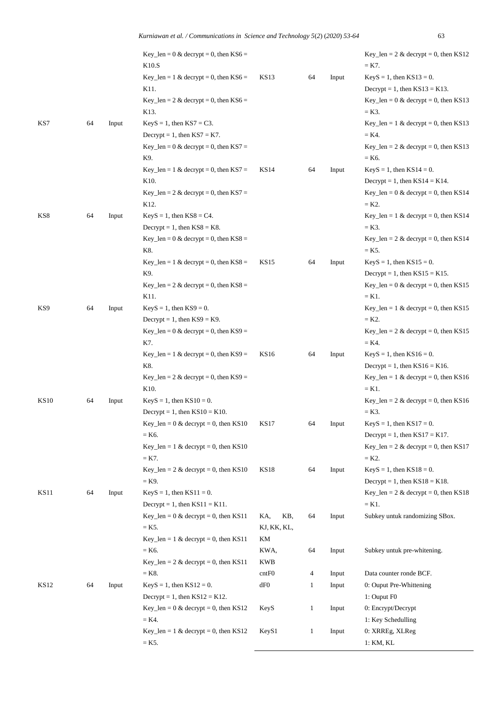|             |    |       | Kurniawan et al. / Communications in Science and Technology 5(2) (2020) 53-64 |             |     |              |       | 63                                                                 |
|-------------|----|-------|-------------------------------------------------------------------------------|-------------|-----|--------------|-------|--------------------------------------------------------------------|
|             |    |       | Key_len = $0 \&$ decrypt = 0, then KS6 =                                      |             |     |              |       | Key_len = $2 \&$ decrypt = 0, then KS12                            |
|             |    |       | K10.S                                                                         |             |     |              |       | $=$ K7.                                                            |
|             |    |       | Key_len = 1 & decrypt = 0, then $K56 =$                                       | KS13        |     | 64           | Input | $KeyS = 1$ , then $KS13 = 0$ .                                     |
|             |    |       | K11.                                                                          |             |     |              |       | Decrypt = 1, then $KS13 = K13$ .                                   |
|             |    |       | Key_len = $2 \&$ decrypt = 0, then KS6 =                                      |             |     |              |       | Key_len = $0 \&$ decrypt = 0, then KS13                            |
|             |    |       | K13.                                                                          |             |     |              |       | $=$ K3.                                                            |
| KS7         | 64 | Input | $KeyS = 1$ , then $KS7 = C3$ .                                                |             |     |              |       | Key_len = 1 & decrypt = 0, then KS13                               |
|             |    |       | Decrypt = 1, then $KS7 = K7$ .                                                |             |     |              |       | $=$ K4.                                                            |
|             |    |       | Key_len = $0 \&$ decrypt = 0, then KS7 =                                      |             |     |              |       | Key_len = $2 \&$ decrypt = 0, then KS13                            |
|             |    |       | K9.                                                                           |             |     |              |       | $=$ K6.                                                            |
|             |    |       | Key_len = 1 & decrypt = 0, then $KST =$                                       | <b>KS14</b> |     | 64           | Input | $KeyS = 1$ , then $KS14 = 0$ .                                     |
|             |    |       | K10.                                                                          |             |     |              |       | Decrypt = 1, then $KS14 = K14$ .                                   |
|             |    |       | Key_len = $2 \&$ decrypt = 0, then KS7 =                                      |             |     |              |       | Key_len = $0 \&$ decrypt = 0, then KS14                            |
|             |    |       | K <sub>12</sub> .                                                             |             |     |              |       | $= K2.$                                                            |
| KS8         | 64 | Input | $KeyS = 1$ , then $KSS = C4$ .                                                |             |     |              |       | Key_len = 1 & decrypt = 0, then KS14                               |
|             |    |       | Decrypt = 1, then $KSS = K8$ .                                                |             |     |              |       | $=$ K3.                                                            |
|             |    |       | Key_len = $0 \&$ decrypt = 0, then KS8 =                                      |             |     |              |       | Key_len = $2 \&$ decrypt = 0, then KS14                            |
|             |    |       | K8.                                                                           |             |     |              |       | $=$ K5.                                                            |
|             |    |       | Key_len = 1 & decrypt = 0, then $KS8 =$                                       | <b>KS15</b> |     | 64           | Input | $KeyS = 1$ , then $KS15 = 0$ .                                     |
|             |    |       | K9.                                                                           |             |     |              |       | Decrypt = 1, then $KS15 = K15$ .                                   |
|             |    |       | Key_len = $2 \&$ decrypt = 0, then KS8 =                                      |             |     |              |       | Key_len = $0 \&$ decrypt = 0, then KS15                            |
|             |    |       | K11.                                                                          |             |     |              |       | $= K1.$                                                            |
| KS9         | 64 | Input | $KeyS = 1$ , then $KS9 = 0$ .                                                 |             |     |              |       | Key_len = $1 \&$ decrypt = 0, then KS15                            |
|             |    |       | Decrypt = 1, then $KS9 = K9$ .                                                |             |     |              |       | $= K2.$                                                            |
|             |    |       | Key_len = $0 \&$ decrypt = 0, then KS9 =                                      |             |     |              |       | Key_len = $2 \&$ decrypt = 0, then KS15                            |
|             |    |       | K7.                                                                           |             |     |              |       | $=$ K4.                                                            |
|             |    |       | Key_len = 1 & decrypt = 0, then $KS9 =$                                       | KS16        |     | 64           | Input | $KeyS = 1$ , then $KS16 = 0$ .                                     |
|             |    |       | K8.                                                                           |             |     |              |       | Decrypt = 1, then $KS16 = K16$ .                                   |
|             |    |       | Key_len = $2 \&$ decrypt = 0, then KS9 =                                      |             |     |              |       | Key_len = 1 & decrypt = 0, then KS16                               |
|             |    |       | K10.                                                                          |             |     |              |       | $= K1$ .                                                           |
| <b>KS10</b> | 64 | Input | $KeyS = 1$ , then $KS10 = 0$ .                                                |             |     |              |       | Key_len = 2 & decrypt = 0, then KS16                               |
|             |    |       | Decrypt = 1, then $KS10 = K10$ .                                              |             |     |              |       | $=$ K3.                                                            |
|             |    |       | Key_len = $0 \&$ decrypt = 0, then KS10<br>$=$ K6.                            | <b>KS17</b> |     | 64           | Input | $KeyS = 1$ , then $KS17 = 0$ .<br>Decrypt = 1, then $KS17 = K17$ . |
|             |    |       |                                                                               |             |     |              |       | Key_len = $2 \&$ decrypt = 0, then KS17                            |
|             |    |       | Key_len = 1 & decrypt = 0, then KS10<br>$= K7.$                               |             |     |              |       | $= K2.$                                                            |
|             |    |       | Key_len = $2 \&$ decrypt = 0, then KS10                                       | <b>KS18</b> |     | 64           | Input | $KeyS = 1$ , then $KS18 = 0$ .                                     |
|             |    |       | $=$ K9.                                                                       |             |     |              |       | Decrypt = 1, then $KS18 = K18$ .                                   |
| <b>KS11</b> | 64 | Input | $KeyS = 1$ , then $KS11 = 0$ .                                                |             |     |              |       | Key_len = $2 \&$ decrypt = 0, then KS18                            |
|             |    |       | Decrypt = 1, then $KS11 = K11$ .                                              |             |     |              |       | $= K1.$                                                            |
|             |    |       | Key_len = $0 \&$ decrypt = 0, then KS11                                       | KA,         | KB, | 64           | Input | Subkey untuk randomizing SBox.                                     |
|             |    |       | $= K5.$                                                                       | KJ, KK, KL, |     |              |       |                                                                    |
|             |    |       | Key_len = $1 \&$ decrypt = 0, then KS11                                       | KM          |     |              |       |                                                                    |
|             |    |       | $=$ K6.                                                                       | KWA,        |     | 64           | Input | Subkey untuk pre-whitening.                                        |
|             |    |       | Key_len = $2 \&$ decrypt = 0, then KS11                                       | KWB         |     |              |       |                                                                    |
|             |    |       | $=$ K8.                                                                       | cntF0       |     | 4            | Input | Data counter ronde BCF.                                            |
| <b>KS12</b> | 64 | Input | $KeyS = 1$ , then $KS12 = 0$ .                                                | dF0         |     | 1            | Input | 0: Ouput Pre-Whittening                                            |
|             |    |       | Decrypt = 1, then $KS12 = K12$ .                                              |             |     |              |       | 1: Ouput F0                                                        |
|             |    |       | Key_len = $0 \&$ decrypt = 0, then KS12                                       | KeyS        |     | 1            | Input | 0: Encrypt/Decrypt                                                 |
|             |    |       | $=$ K4.                                                                       |             |     |              |       | 1: Key Schedulling                                                 |
|             |    |       | Key_len = 1 & decrypt = 0, then KS12                                          | KeyS1       |     | $\mathbf{1}$ | Input | 0: XRREg, XLReg                                                    |
|             |    |       | $= K5.$                                                                       |             |     |              |       | 1: KM, KL                                                          |